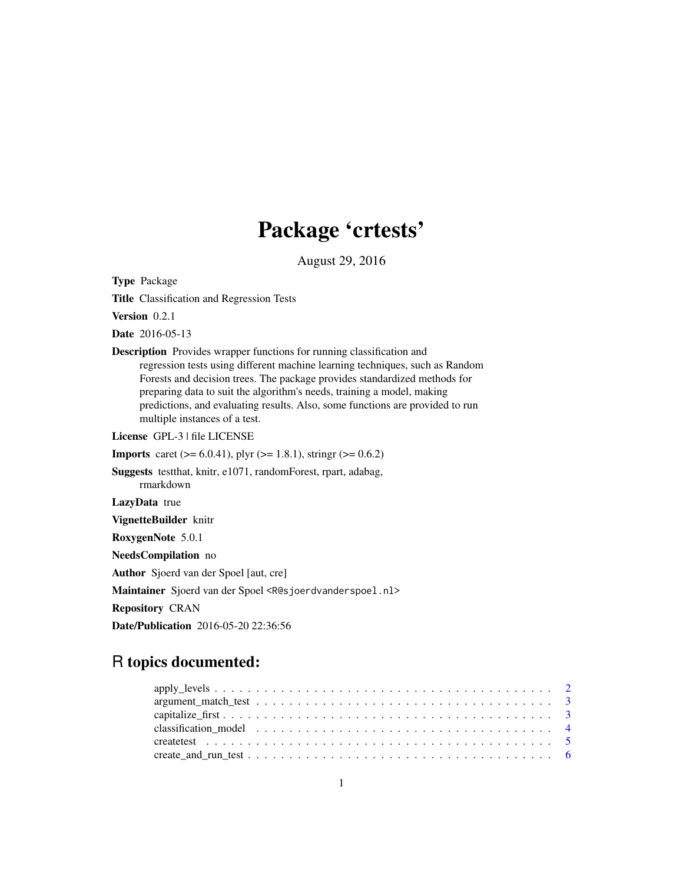# Package 'crtests'

August 29, 2016

<span id="page-0-0"></span>Type Package

Title Classification and Regression Tests

Version 0.2.1

Date 2016-05-13

Description Provides wrapper functions for running classification and regression tests using different machine learning techniques, such as Random Forests and decision trees. The package provides standardized methods for preparing data to suit the algorithm's needs, training a model, making predictions, and evaluating results. Also, some functions are provided to run multiple instances of a test.

License GPL-3 | file LICENSE

**Imports** caret ( $>= 6.0.41$ ), plyr ( $>= 1.8.1$ ), stringr ( $>= 0.6.2$ )

Suggests testthat, knitr, e1071, randomForest, rpart, adabag, rmarkdown

LazyData true

VignetteBuilder knitr

RoxygenNote 5.0.1

NeedsCompilation no

Author Sjoerd van der Spoel [aut, cre]

Maintainer Sjoerd van der Spoel <R@sjoerdvanderspoel.nl>

Repository CRAN

Date/Publication 2016-05-20 22:36:56

# R topics documented: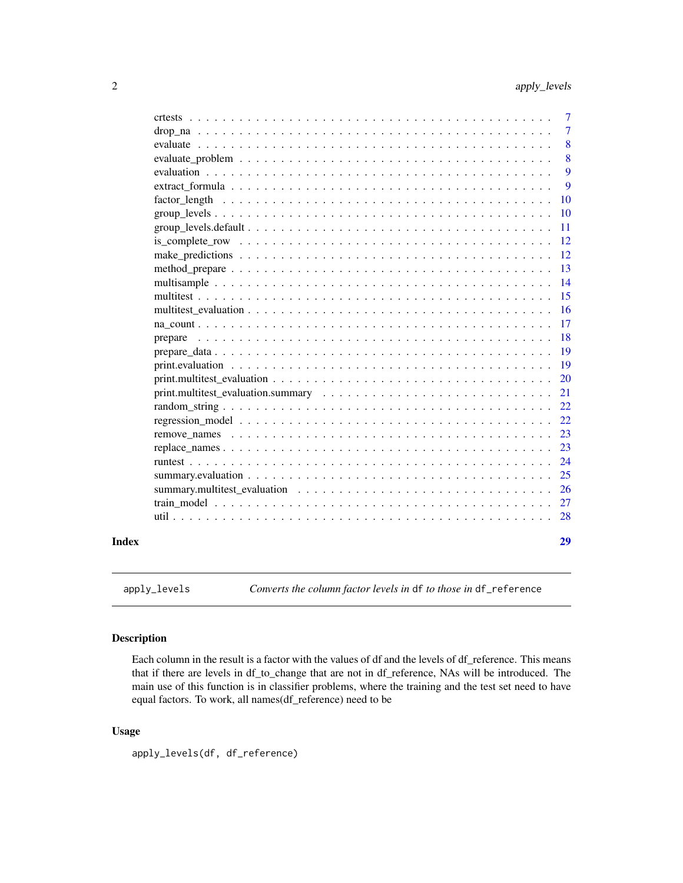<span id="page-1-0"></span>

| Index |                                                                                                                                                           | 29             |
|-------|-----------------------------------------------------------------------------------------------------------------------------------------------------------|----------------|
|       |                                                                                                                                                           | 28             |
|       |                                                                                                                                                           | 27             |
|       |                                                                                                                                                           | 26             |
|       |                                                                                                                                                           | 25             |
|       |                                                                                                                                                           | 24             |
|       |                                                                                                                                                           | 23             |
|       | remove names $\ldots$ , $\ldots$ , $\ldots$ , $\ldots$ , $\ldots$ , $\ldots$ , $\ldots$ , $\ldots$ , $\ldots$ , $\ldots$ , $\ldots$ , $\ldots$ , $\ldots$ | 23             |
|       |                                                                                                                                                           | 22             |
|       |                                                                                                                                                           | 22             |
|       |                                                                                                                                                           | 21             |
|       |                                                                                                                                                           | 20             |
|       |                                                                                                                                                           | 19             |
|       |                                                                                                                                                           | 19             |
|       |                                                                                                                                                           | 18             |
|       |                                                                                                                                                           | 17             |
|       |                                                                                                                                                           | <b>16</b>      |
|       |                                                                                                                                                           | 15             |
|       |                                                                                                                                                           | 14             |
|       |                                                                                                                                                           | 13             |
|       |                                                                                                                                                           | 12             |
|       |                                                                                                                                                           | 12             |
|       |                                                                                                                                                           | 11             |
|       |                                                                                                                                                           | <b>10</b>      |
|       |                                                                                                                                                           | <b>10</b>      |
|       |                                                                                                                                                           | 9              |
|       |                                                                                                                                                           | 9              |
|       |                                                                                                                                                           | 8              |
|       |                                                                                                                                                           | 8              |
|       |                                                                                                                                                           | 7              |
|       |                                                                                                                                                           | $\overline{7}$ |

apply\_levels *Converts the column factor levels in* df *to those in* df\_reference

# Description

Each column in the result is a factor with the values of df and the levels of df\_reference. This means that if there are levels in df\_to\_change that are not in df\_reference, NAs will be introduced. The main use of this function is in classifier problems, where the training and the test set need to have equal factors. To work, all names(df\_reference) need to be

# Usage

apply\_levels(df, df\_reference)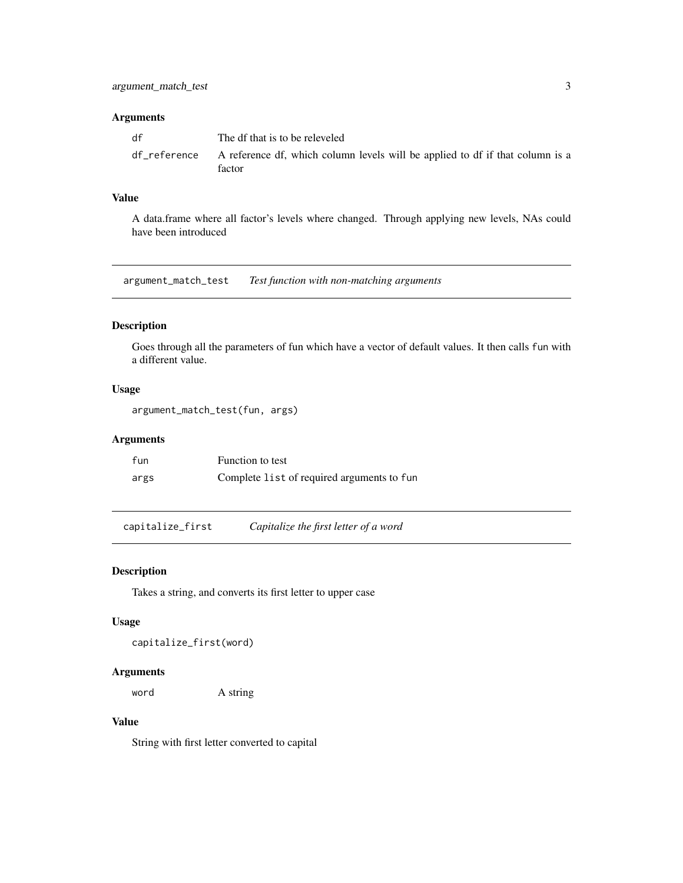#### <span id="page-2-0"></span>Arguments

| df | The df that is to be releveled                                                                       |
|----|------------------------------------------------------------------------------------------------------|
|    | df_reference A reference df, which column levels will be applied to df if that column is a<br>factor |

# Value

A data.frame where all factor's levels where changed. Through applying new levels, NAs could have been introduced

argument\_match\_test *Test function with non-matching arguments*

# Description

Goes through all the parameters of fun which have a vector of default values. It then calls fun with a different value.

# Usage

```
argument_match_test(fun, args)
```
# Arguments

| fun  | Function to test                           |
|------|--------------------------------------------|
| args | Complete list of required arguments to fun |

capitalize\_first *Capitalize the first letter of a word*

#### Description

Takes a string, and converts its first letter to upper case

# Usage

capitalize\_first(word)

# Arguments

word A string

# Value

String with first letter converted to capital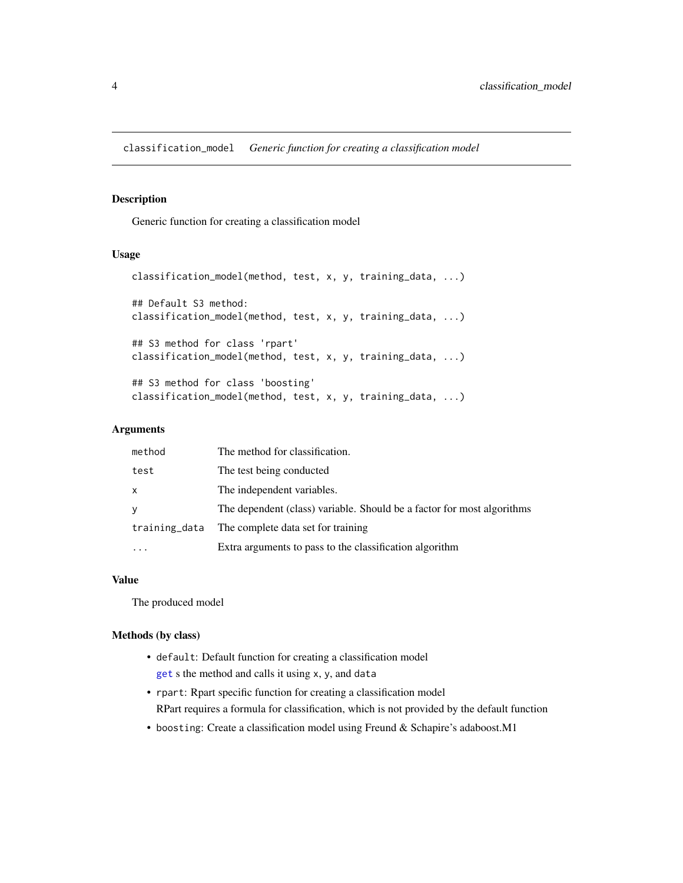<span id="page-3-0"></span>classification\_model *Generic function for creating a classification model*

#### Description

Generic function for creating a classification model

#### Usage

```
classification_model(method, test, x, y, training_data, ...)
## Default S3 method:
classification_model(method, test, x, y, training_data, ...)
## S3 method for class 'rpart'
classification_model(method, test, x, y, training_data, ...)
## S3 method for class 'boosting'
classification_model(method, test, x, y, training_data, ...)
```
# Arguments

| method        | The method for classification.                                         |
|---------------|------------------------------------------------------------------------|
| test          | The test being conducted                                               |
| $\mathsf{x}$  | The independent variables.                                             |
| y             | The dependent (class) variable. Should be a factor for most algorithms |
| training_data | The complete data set for training                                     |
|               | Extra arguments to pass to the classification algorithm                |

#### Value

The produced model

#### Methods (by class)

- default: Default function for creating a classification model [get](#page-0-0) s the method and calls it using x, y, and data
- rpart: Rpart specific function for creating a classification model RPart requires a formula for classification, which is not provided by the default function
- boosting: Create a classification model using Freund & Schapire's adaboost.M1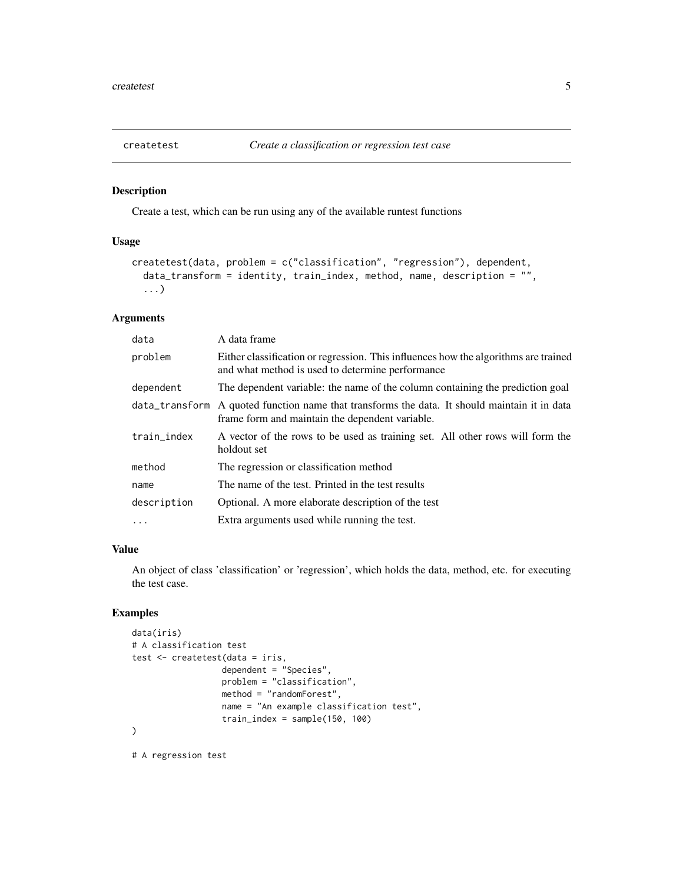<span id="page-4-1"></span><span id="page-4-0"></span>

Create a test, which can be run using any of the available runtest functions

#### Usage

```
createtest(data, problem = c("classification", "regression"), dependent,
  data_transform = identity, train_index, method, name, description = "",
  ...)
```
# Arguments

| data        | A data frame                                                                                                                                     |
|-------------|--------------------------------------------------------------------------------------------------------------------------------------------------|
| problem     | Either classification or regression. This influences how the algorithms are trained<br>and what method is used to determine performance          |
| dependent   | The dependent variable: the name of the column containing the prediction goal                                                                    |
|             | data_transform A quoted function name that transforms the data. It should maintain it in data<br>frame form and maintain the dependent variable. |
| train_index | A vector of the rows to be used as training set. All other rows will form the<br>holdout set                                                     |
| method      | The regression or classification method                                                                                                          |
| name        | The name of the test. Printed in the test results                                                                                                |
| description | Optional. A more elaborate description of the test                                                                                               |
| $\cdot$     | Extra arguments used while running the test.                                                                                                     |

#### Value

An object of class 'classification' or 'regression', which holds the data, method, etc. for executing the test case.

# Examples

```
data(iris)
# A classification test
test <- createtest(data = iris,
                  dependent = "Species",
                  problem = "classification",
                  method = "randomForest",
                  name = "An example classification test",
                  train_index = sample(150, 100)
)
```
# A regression test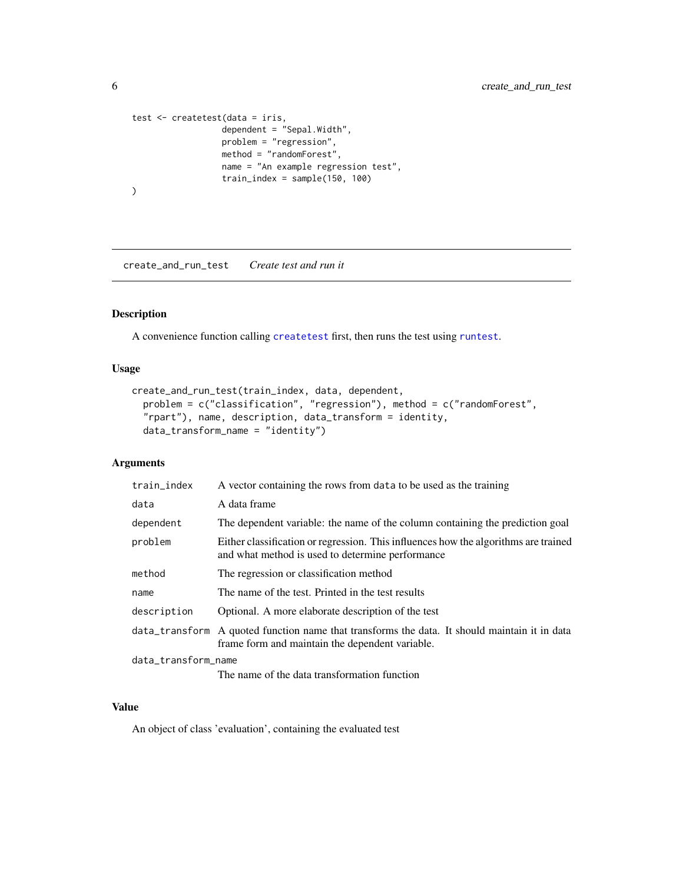```
test <- createtest(data = iris,
                  dependent = "Sepal.Width",
                   problem = "regression",
                   method = "randomForest",
                   name = "An example regression test",
                   train_index = sample(150, 100)
\mathcal{L}
```
<span id="page-5-1"></span>create\_and\_run\_test *Create test and run it*

# Description

A convenience function calling [createtest](#page-4-1) first, then runs the test using [runtest](#page-23-1).

# Usage

```
create_and_run_test(train_index, data, dependent,
 problem = c("classification", "regression"), method = c("randomForest",
  "rpart"), name, description, data_transform = identity,
 data_transform_name = "identity")
```
# Arguments

| train_index         | A vector containing the rows from data to be used as the training                                                                                |
|---------------------|--------------------------------------------------------------------------------------------------------------------------------------------------|
| data                | A data frame                                                                                                                                     |
| dependent           | The dependent variable: the name of the column containing the prediction goal                                                                    |
| problem             | Either classification or regression. This influences how the algorithms are trained<br>and what method is used to determine performance          |
| method              | The regression or classification method                                                                                                          |
| name                | The name of the test. Printed in the test results                                                                                                |
| description         | Optional. A more elaborate description of the test                                                                                               |
|                     | data_transform A quoted function name that transforms the data. It should maintain it in data<br>frame form and maintain the dependent variable. |
| data_transform_name |                                                                                                                                                  |
|                     | The name of the data transformation function                                                                                                     |

# Value

An object of class 'evaluation', containing the evaluated test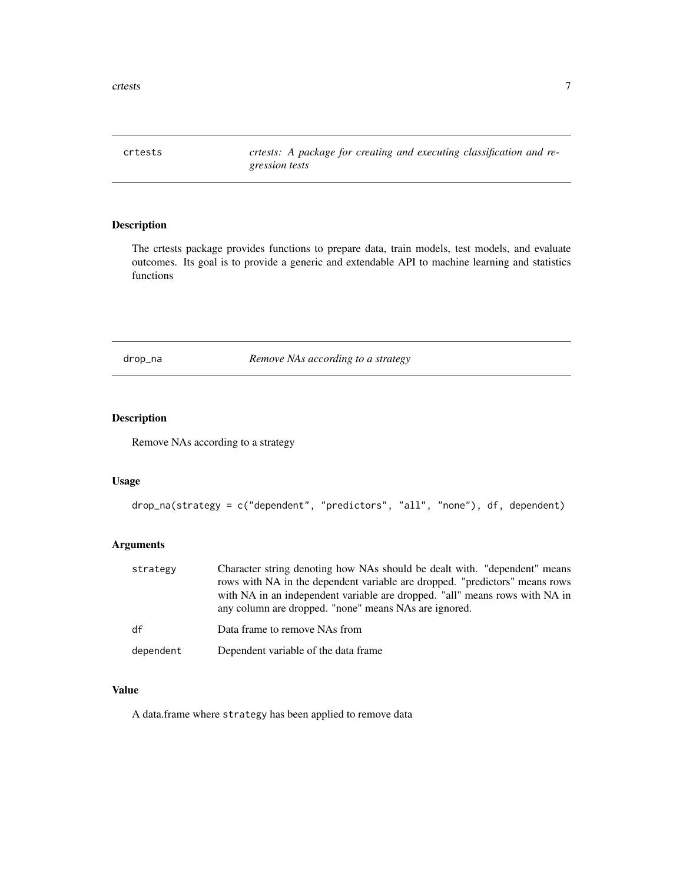<span id="page-6-0"></span>crtests 7

crtests *crtests: A package for creating and executing classification and regression tests*

# Description

The crtests package provides functions to prepare data, train models, test models, and evaluate outcomes. Its goal is to provide a generic and extendable API to machine learning and statistics functions

<span id="page-6-1"></span>drop\_na *Remove NAs according to a strategy*

#### Description

Remove NAs according to a strategy

# Usage

```
drop_na(strategy = c("dependent", "predictors", "all", "none"), df, dependent)
```
#### Arguments

| strategy  | Character string denoting how NAs should be dealt with. "dependent" means<br>rows with NA in the dependent variable are dropped. "predictors" means rows<br>with NA in an independent variable are dropped. "all" means rows with NA in<br>any column are dropped. "none" means NAs are ignored. |
|-----------|--------------------------------------------------------------------------------------------------------------------------------------------------------------------------------------------------------------------------------------------------------------------------------------------------|
| df        | Data frame to remove NAs from                                                                                                                                                                                                                                                                    |
| dependent | Dependent variable of the data frame                                                                                                                                                                                                                                                             |

# Value

A data.frame where strategy has been applied to remove data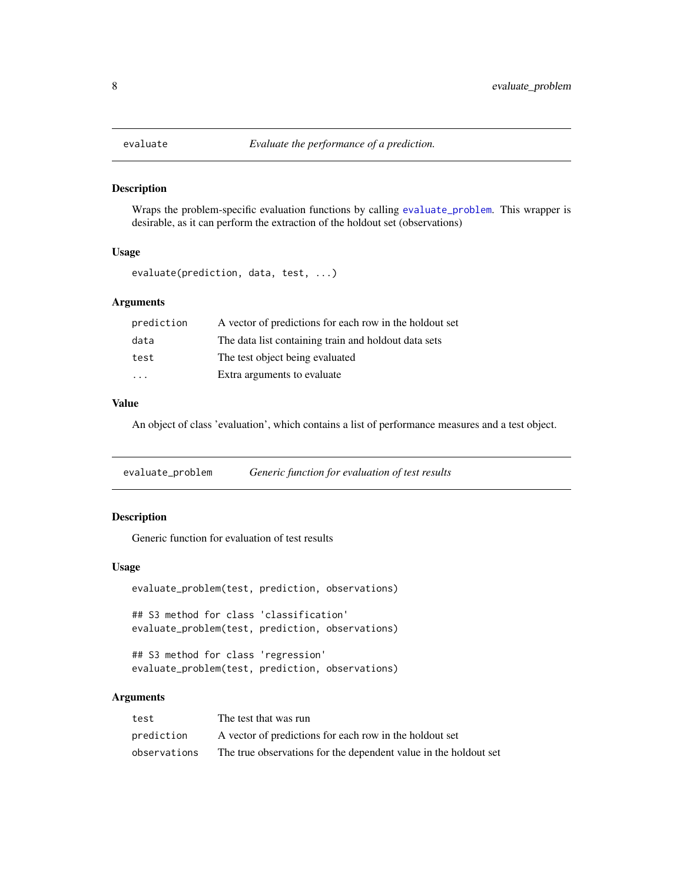<span id="page-7-2"></span><span id="page-7-0"></span>

Wraps the problem-specific evaluation functions by calling [evaluate\\_problem](#page-7-1). This wrapper is desirable, as it can perform the extraction of the holdout set (observations)

#### Usage

```
evaluate(prediction, data, test, ...)
```
# Arguments

| prediction | A vector of predictions for each row in the holdout set |
|------------|---------------------------------------------------------|
| data       | The data list containing train and holdout data sets    |
| test       | The test object being evaluated                         |
| .          | Extra arguments to evaluate                             |

# Value

An object of class 'evaluation', which contains a list of performance measures and a test object.

<span id="page-7-1"></span>evaluate\_problem *Generic function for evaluation of test results*

#### Description

Generic function for evaluation of test results

#### Usage

```
evaluate_problem(test, prediction, observations)
## S3 method for class 'classification'
evaluate_problem(test, prediction, observations)
```
## S3 method for class 'regression' evaluate\_problem(test, prediction, observations)

| test         | The test that was run                                            |
|--------------|------------------------------------------------------------------|
| prediction   | A vector of predictions for each row in the holdout set          |
| observations | The true observations for the dependent value in the holdout set |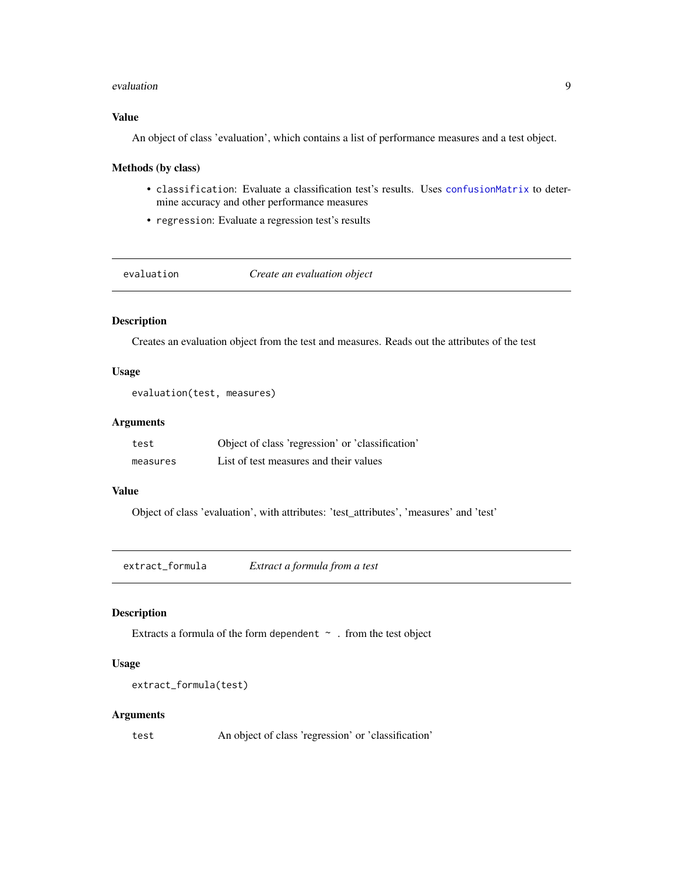#### <span id="page-8-0"></span>evaluation 9

# Value

An object of class 'evaluation', which contains a list of performance measures and a test object.

#### Methods (by class)

- classification: Evaluate a classification test's results. Uses [confusionMatrix](#page-0-0) to determine accuracy and other performance measures
- regression: Evaluate a regression test's results

evaluation *Create an evaluation object*

# Description

Creates an evaluation object from the test and measures. Reads out the attributes of the test

# Usage

```
evaluation(test, measures)
```
# Arguments

| test     | Object of class 'regression' or 'classification' |
|----------|--------------------------------------------------|
| measures | List of test measures and their values           |

# Value

Object of class 'evaluation', with attributes: 'test\_attributes', 'measures' and 'test'

extract\_formula *Extract a formula from a test*

# Description

Extracts a formula of the form dependent  $\sim$  . from the test object

# Usage

```
extract_formula(test)
```
#### Arguments

test An object of class 'regression' or 'classification'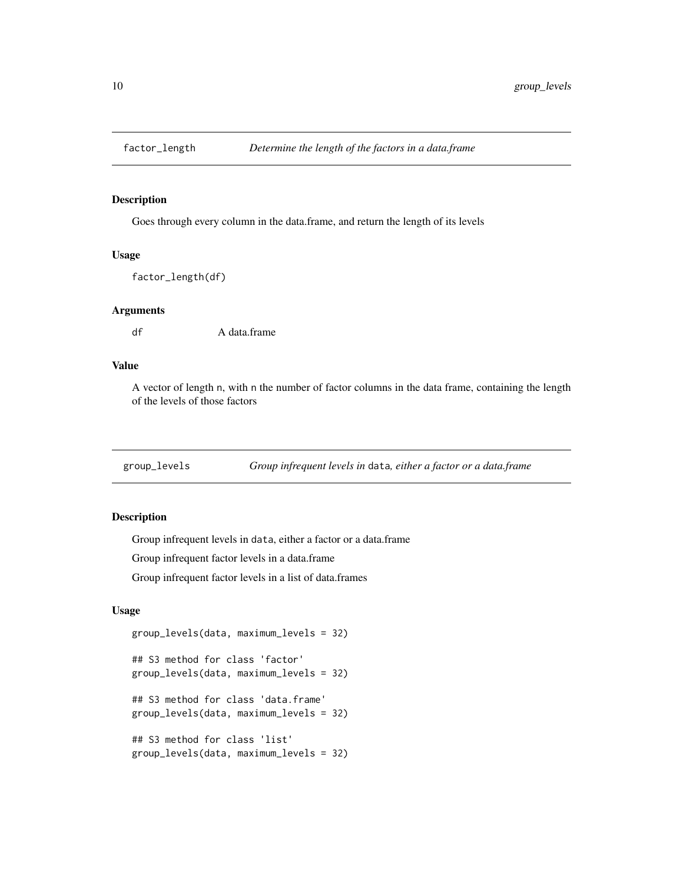<span id="page-9-0"></span>

Goes through every column in the data.frame, and return the length of its levels

# Usage

factor\_length(df)

# Arguments

df A data.frame

# Value

A vector of length n, with n the number of factor columns in the data frame, containing the length of the levels of those factors

<span id="page-9-1"></span>group\_levels *Group infrequent levels in* data*, either a factor or a data.frame*

#### Description

Group infrequent levels in data, either a factor or a data.frame

Group infrequent factor levels in a data.frame

Group infrequent factor levels in a list of data.frames

# Usage

```
group_levels(data, maximum_levels = 32)
```

```
## S3 method for class 'factor'
group_levels(data, maximum_levels = 32)
```
## S3 method for class 'data.frame' group\_levels(data, maximum\_levels = 32)

```
## S3 method for class 'list'
group_levels(data, maximum_levels = 32)
```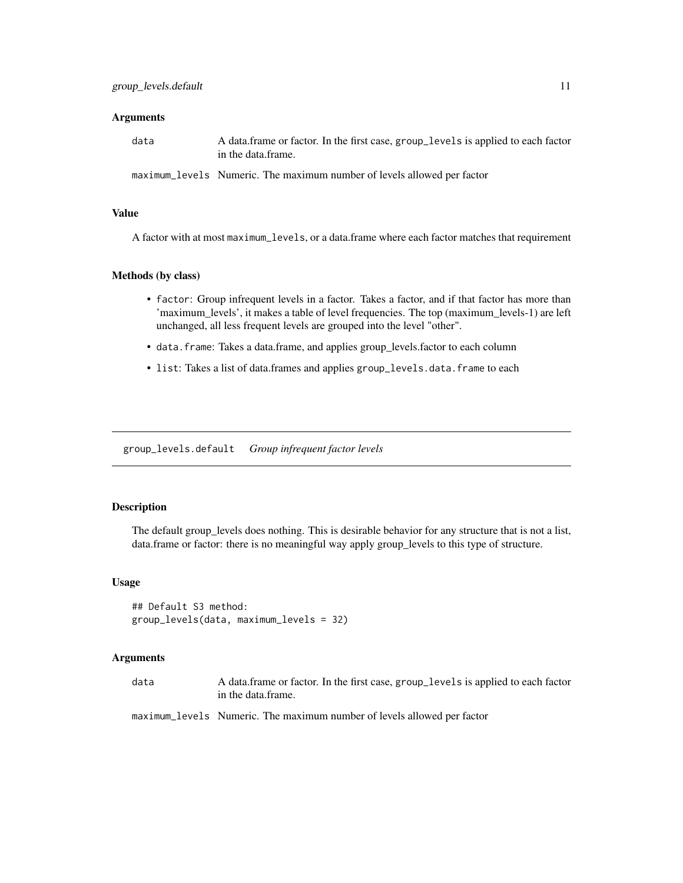#### <span id="page-10-0"></span>**Arguments**

| data | A data frame or factor. In the first case, group_levels is applied to each factor<br>in the data frame. |
|------|---------------------------------------------------------------------------------------------------------|
|      | maximum_levels Numeric. The maximum number of levels allowed per factor                                 |

#### Value

A factor with at most maximum\_levels, or a data.frame where each factor matches that requirement

## Methods (by class)

- factor: Group infrequent levels in a factor. Takes a factor, and if that factor has more than 'maximum\_levels', it makes a table of level frequencies. The top (maximum\_levels-1) are left unchanged, all less frequent levels are grouped into the level "other".
- data.frame: Takes a data.frame, and applies group\_levels.factor to each column
- list: Takes a list of data.frames and applies group\_levels.data.frame to each

group\_levels.default *Group infrequent factor levels*

#### Description

The default group\_levels does nothing. This is desirable behavior for any structure that is not a list, data.frame or factor: there is no meaningful way apply group\_levels to this type of structure.

#### Usage

## Default S3 method: group\_levels(data, maximum\_levels = 32)

# Arguments

| data | A data.frame or factor. In the first case, group_levels is applied to each factor |
|------|-----------------------------------------------------------------------------------|
|      | in the data.frame.                                                                |

maximum\_levels Numeric. The maximum number of levels allowed per factor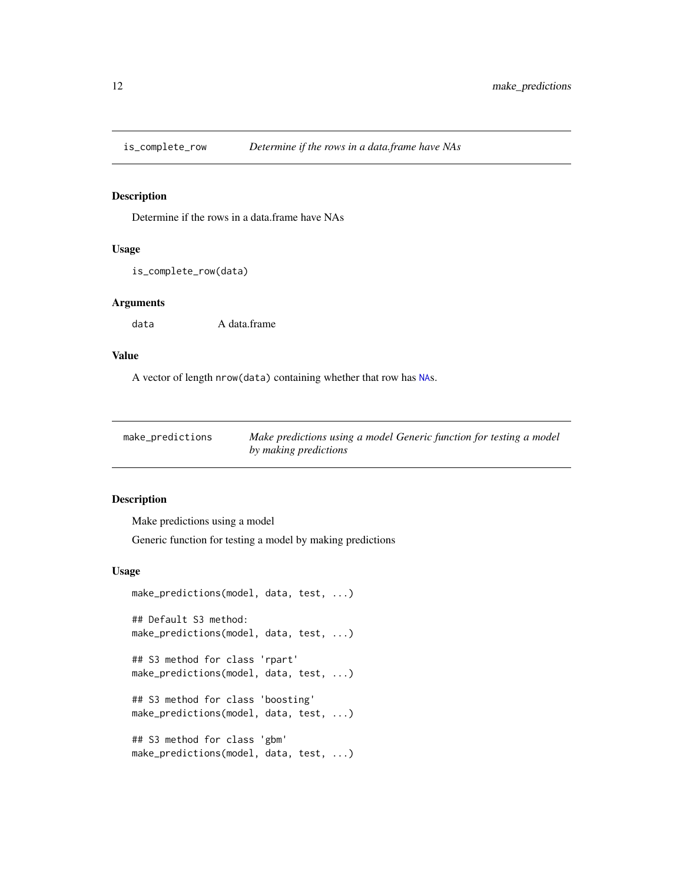<span id="page-11-0"></span>

Determine if the rows in a data.frame have NAs

# Usage

```
is_complete_row(data)
```
# Arguments

data A data.frame

# Value

A vector of length nrow(data) containing whether that row has [NA](#page-0-0)s.

<span id="page-11-1"></span>

| make_predictions | Make predictions using a model Generic function for testing a model |
|------------------|---------------------------------------------------------------------|
|                  | by making predictions                                               |

#### Description

Make predictions using a model

Generic function for testing a model by making predictions

# Usage

```
make_predictions(model, data, test, ...)
## Default S3 method:
make_predictions(model, data, test, ...)
## S3 method for class 'rpart'
make_predictions(model, data, test, ...)
## S3 method for class 'boosting'
make_predictions(model, data, test, ...)
## S3 method for class 'gbm'
make_predictions(model, data, test, ...)
```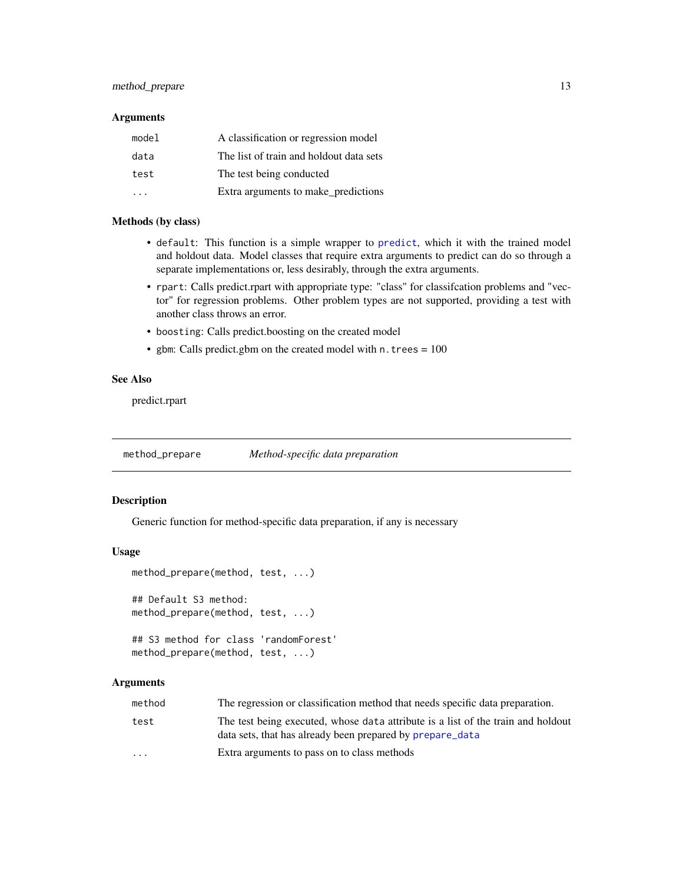# <span id="page-12-0"></span>method\_prepare 13

## Arguments

| model | A classification or regression model    |
|-------|-----------------------------------------|
| data  | The list of train and holdout data sets |
| test  | The test being conducted                |
|       | Extra arguments to make_predictions     |

# Methods (by class)

- default: This function is a simple wrapper to [predict](#page-0-0), which it with the trained model and holdout data. Model classes that require extra arguments to predict can do so through a separate implementations or, less desirably, through the extra arguments.
- rpart: Calls predict.rpart with appropriate type: "class" for classifcation problems and "vector" for regression problems. Other problem types are not supported, providing a test with another class throws an error.
- boosting: Calls predict.boosting on the created model
- gbm: Calls predict.gbm on the created model with n. trees  $= 100$

# See Also

predict.rpart

method\_prepare *Method-specific data preparation*

#### Description

Generic function for method-specific data preparation, if any is necessary

#### Usage

```
method_prepare(method, test, ...)
## Default S3 method:
method_prepare(method, test, ...)
## S3 method for class 'randomForest'
method_prepare(method, test, ...)
```

| method                  | The regression or classification method that needs specific data preparation.                                                                 |
|-------------------------|-----------------------------------------------------------------------------------------------------------------------------------------------|
| test                    | The test being executed, whose data attribute is a list of the train and holdout<br>data sets, that has already been prepared by prepare_data |
| $\cdot$ $\cdot$ $\cdot$ | Extra arguments to pass on to class methods                                                                                                   |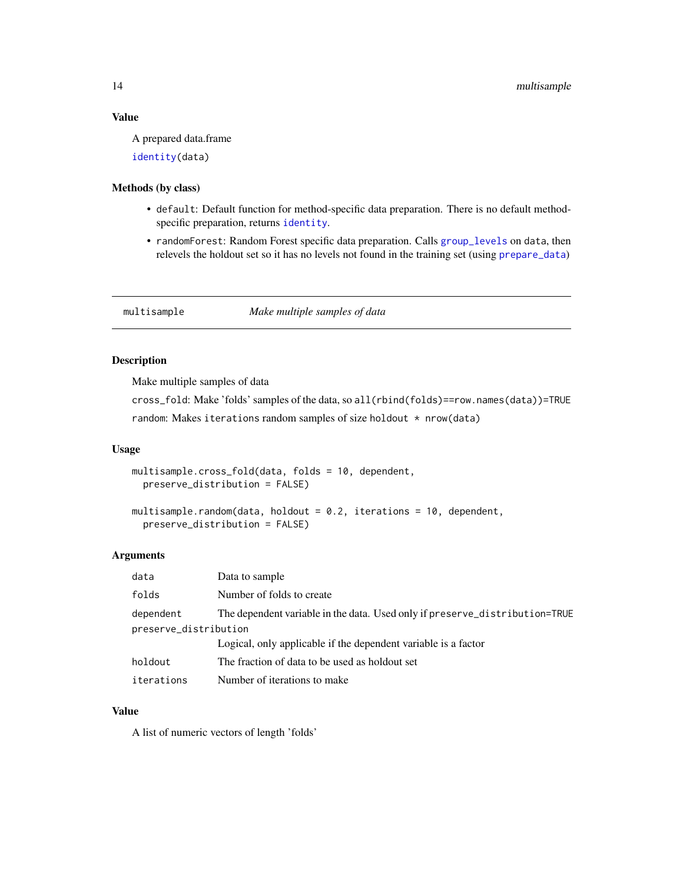## <span id="page-13-0"></span>Value

A prepared data.frame

[identity\(](#page-0-0)data)

#### Methods (by class)

- default: Default function for method-specific data preparation. There is no default methodspecific preparation, returns [identity](#page-0-0).
- randomForest: Random Forest specific data preparation. Calls [group\\_levels](#page-9-1) on data, then relevels the holdout set so it has no levels not found in the training set (using [prepare\\_data](#page-18-1))

# multisample *Make multiple samples of data*

# Description

Make multiple samples of data

cross\_fold: Make 'folds' samples of the data, so all(rbind(folds)==row.names(data))=TRUE random: Makes iterations random samples of size holdout \* nrow(data)

#### Usage

```
multisample.cross_fold(data, folds = 10, dependent,
 preserve_distribution = FALSE)
multisample.random(data, holdout = 0.2, iterations = 10, dependent,
 preserve_distribution = FALSE)
```
#### Arguments

| data                  | Data to sample                                                              |  |
|-----------------------|-----------------------------------------------------------------------------|--|
| folds                 | Number of folds to create                                                   |  |
| dependent             | The dependent variable in the data. Used only if preserve_distribution=TRUE |  |
| preserve_distribution |                                                                             |  |
|                       | Logical, only applicable if the dependent variable is a factor              |  |
| holdout               | The fraction of data to be used as holdout set                              |  |
| iterations            | Number of iterations to make                                                |  |

# Value

A list of numeric vectors of length 'folds'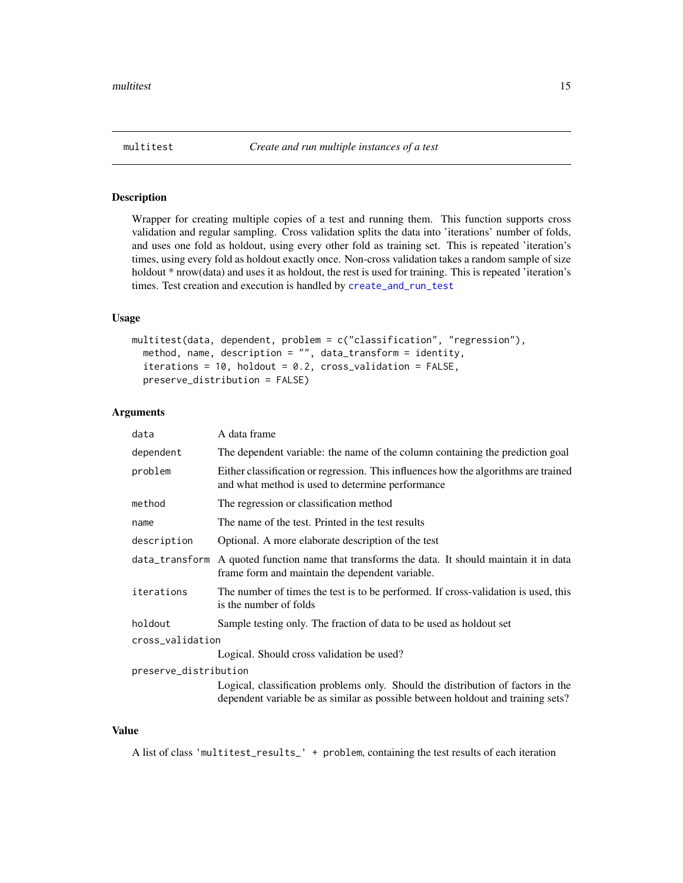<span id="page-14-0"></span>

Wrapper for creating multiple copies of a test and running them. This function supports cross validation and regular sampling. Cross validation splits the data into 'iterations' number of folds, and uses one fold as holdout, using every other fold as training set. This is repeated 'iteration's times, using every fold as holdout exactly once. Non-cross validation takes a random sample of size holdout \* nrow(data) and uses it as holdout, the rest is used for training. This is repeated 'iteration's times. Test creation and execution is handled by [create\\_and\\_run\\_test](#page-5-1)

# Usage

```
multitest(data, dependent, problem = c("classification", "regression"),
 method, name, description = "", data_transform = identity,
  iterations = 10, holdout = 0.2, cross_validation = FALSE,
 preserve_distribution = FALSE)
```
# Arguments

| data                  | A data frame                                                                                                                                                        |  |
|-----------------------|---------------------------------------------------------------------------------------------------------------------------------------------------------------------|--|
| dependent             | The dependent variable: the name of the column containing the prediction goal                                                                                       |  |
| problem               | Either classification or regression. This influences how the algorithms are trained<br>and what method is used to determine performance                             |  |
| method                | The regression or classification method                                                                                                                             |  |
| name                  | The name of the test. Printed in the test results                                                                                                                   |  |
| description           | Optional. A more elaborate description of the test                                                                                                                  |  |
| data_transform        | A quoted function name that transforms the data. It should maintain it in data<br>frame form and maintain the dependent variable.                                   |  |
| iterations            | The number of times the test is to be performed. If cross-validation is used, this<br>is the number of folds                                                        |  |
| holdout               | Sample testing only. The fraction of data to be used as holdout set                                                                                                 |  |
| cross_validation      |                                                                                                                                                                     |  |
|                       | Logical. Should cross validation be used?                                                                                                                           |  |
| preserve_distribution |                                                                                                                                                                     |  |
|                       | Logical, classification problems only. Should the distribution of factors in the<br>dependent variable be as similar as possible between holdout and training sets? |  |

# Value

A list of class 'multitest\_results\_' + problem, containing the test results of each iteration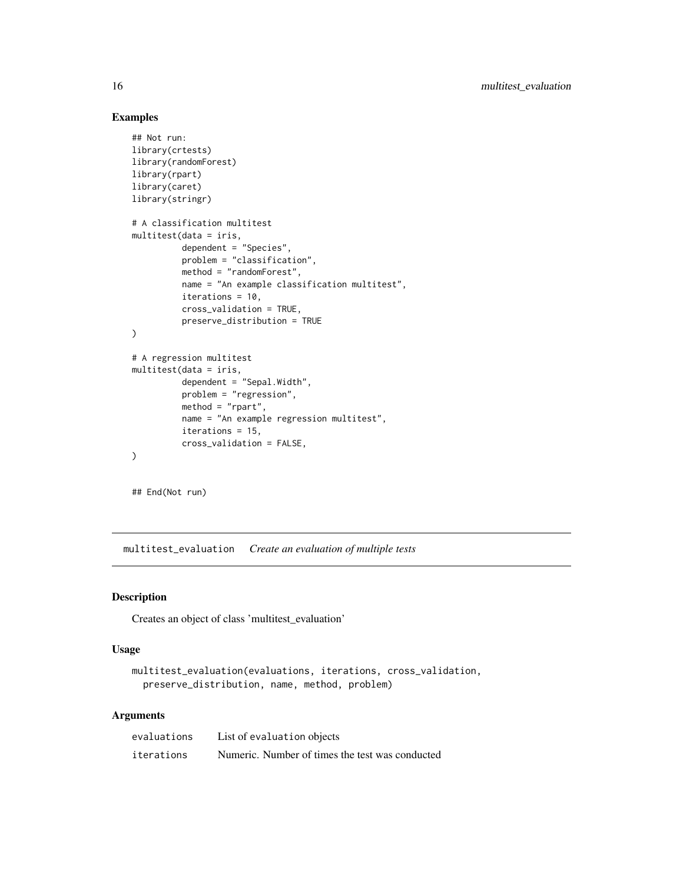#### Examples

```
## Not run:
library(crtests)
library(randomForest)
library(rpart)
library(caret)
library(stringr)
# A classification multitest
multitest(data = iris,
          dependent = "Species",
          problem = "classification",
          method = "randomForest",
          name = "An example classification multitest",
          iterations = 10,
          cross_validation = TRUE,
          preserve_distribution = TRUE
\mathcal{L}# A regression multitest
multitest(data = iris,
          dependent = "Send.Midth",problem = "regression",
          method = "rpart",
          name = "An example regression multitest",
          iterations = 15,
          cross_validation = FALSE,
)
```
## End(Not run)

multitest\_evaluation *Create an evaluation of multiple tests*

#### Description

Creates an object of class 'multitest\_evaluation'

#### Usage

```
multitest_evaluation(evaluations, iterations, cross_validation,
 preserve_distribution, name, method, problem)
```

| evaluations | List of evaluation objects                      |
|-------------|-------------------------------------------------|
| iterations  | Numeric. Number of times the test was conducted |

<span id="page-15-0"></span>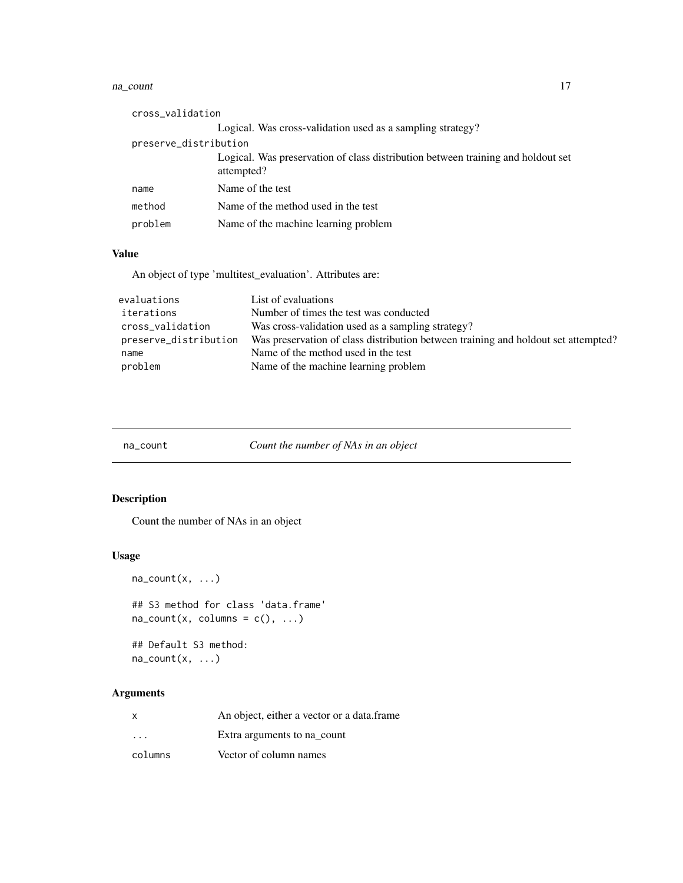#### <span id="page-16-0"></span>na\_count 17

| cross_validation      |                                                                                                |  |
|-----------------------|------------------------------------------------------------------------------------------------|--|
|                       | Logical. Was cross-validation used as a sampling strategy?                                     |  |
| preserve_distribution |                                                                                                |  |
|                       | Logical. Was preservation of class distribution between training and holdout set<br>attempted? |  |
| name                  | Name of the test                                                                               |  |
| method                | Name of the method used in the test                                                            |  |
| problem               | Name of the machine learning problem                                                           |  |

# Value

An object of type 'multitest\_evaluation'. Attributes are:

| evaluations           | List of evaluations                                                                |
|-----------------------|------------------------------------------------------------------------------------|
| iterations            | Number of times the test was conducted                                             |
| cross_validation      | Was cross-validation used as a sampling strategy?                                  |
| preserve_distribution | Was preservation of class distribution between training and holdout set attempted? |
| name                  | Name of the method used in the test                                                |
| problem               | Name of the machine learning problem                                               |

| na count |
|----------|
|          |

| na_count | Count the number of NAs in an object |  |  |
|----------|--------------------------------------|--|--|
|          |                                      |  |  |

# Description

Count the number of NAs in an object

# Usage

```
na\_count(x, \ldots)## S3 method for class 'data.frame'
na_count(x, columns = c(), ...)## Default S3 method:
na\_count(x, \ldots)
```

| x                       | An object, either a vector or a data.frame |
|-------------------------|--------------------------------------------|
| $\cdot$ $\cdot$ $\cdot$ | Extra arguments to na count                |
| columns                 | Vector of column names                     |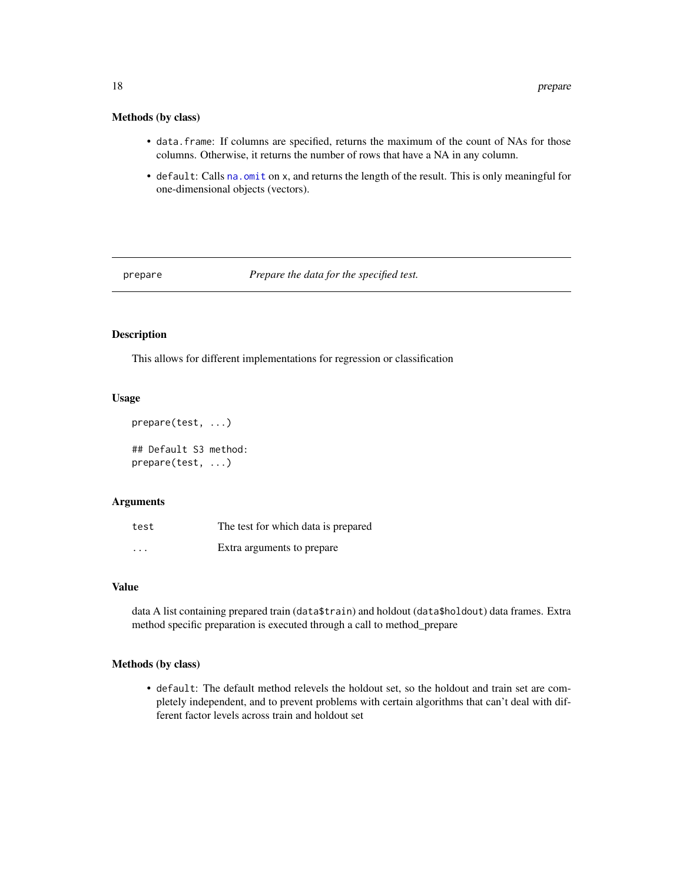# <span id="page-17-0"></span>Methods (by class)

- data.frame: If columns are specified, returns the maximum of the count of NAs for those columns. Otherwise, it returns the number of rows that have a NA in any column.
- default: Calls [na.omit](#page-0-0) on x, and returns the length of the result. This is only meaningful for one-dimensional objects (vectors).

<span id="page-17-1"></span>prepare *Prepare the data for the specified test.*

# Description

This allows for different implementations for regression or classification

# Usage

```
prepare(test, ...)
## Default S3 method:
prepare(test, ...)
```
#### Arguments

| test     | The test for which data is prepared |
|----------|-------------------------------------|
| $\cdots$ | Extra arguments to prepare          |

# Value

data A list containing prepared train (data\$train) and holdout (data\$holdout) data frames. Extra method specific preparation is executed through a call to method\_prepare

#### Methods (by class)

• default: The default method relevels the holdout set, so the holdout and train set are completely independent, and to prevent problems with certain algorithms that can't deal with different factor levels across train and holdout set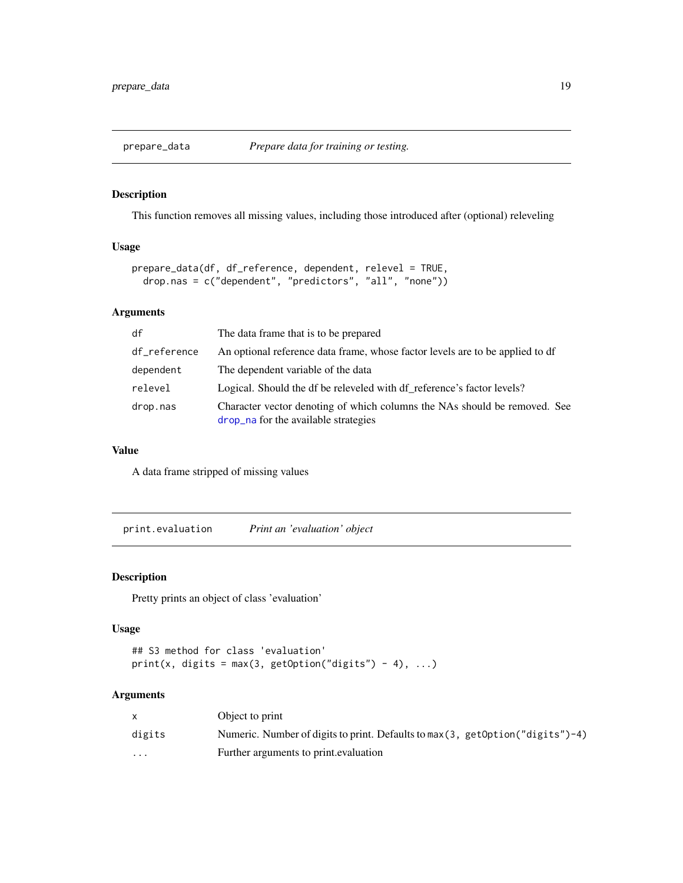<span id="page-18-1"></span><span id="page-18-0"></span>

This function removes all missing values, including those introduced after (optional) releveling

# Usage

```
prepare_data(df, df_reference, dependent, relevel = TRUE,
  drop.nas = c("dependent", "predictors", "all", "none"))
```
# Arguments

| df           | The data frame that is to be prepared                                                                             |
|--------------|-------------------------------------------------------------------------------------------------------------------|
| df_reference | An optional reference data frame, whose factor levels are to be applied to df                                     |
| dependent    | The dependent variable of the data                                                                                |
| relevel      | Logical. Should the df be releveled with df reference's factor levels?                                            |
| drop.nas     | Character vector denoting of which columns the NAs should be removed. See<br>drop_na for the available strategies |

#### Value

A data frame stripped of missing values

print.evaluation *Print an 'evaluation' object*

# Description

Pretty prints an object of class 'evaluation'

#### Usage

```
## S3 method for class 'evaluation'
print(x, digits = max(3, getOption("digits") - 4), ...)
```

|                         | Object to print                                                                   |
|-------------------------|-----------------------------------------------------------------------------------|
| digits                  | Numeric. Number of digits to print. Defaults to max(3, getOption( $"$ digits")-4) |
| $\cdot$ $\cdot$ $\cdot$ | Further arguments to print.evaluation                                             |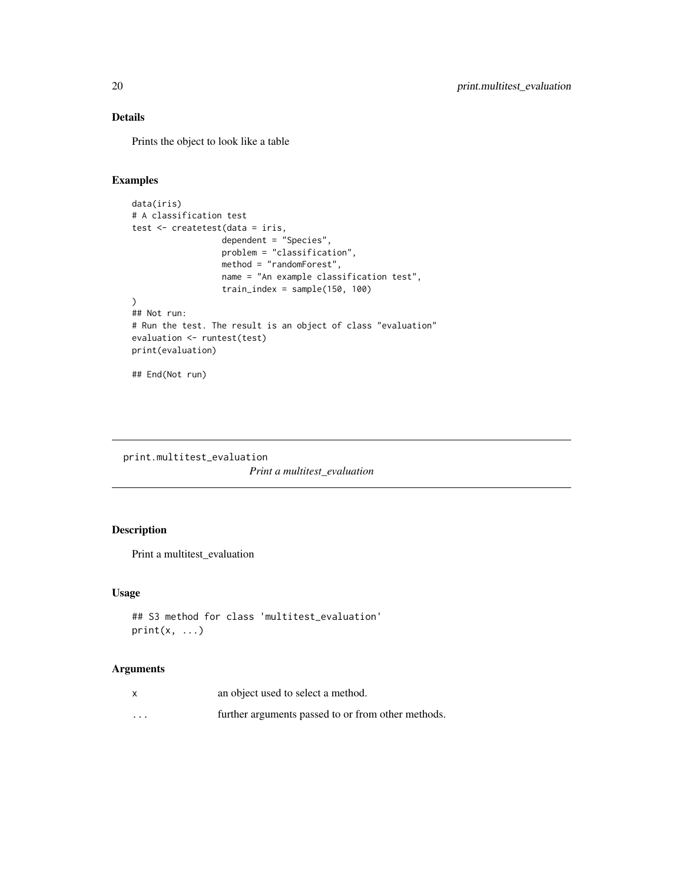# Details

Prints the object to look like a table

# Examples

```
data(iris)
# A classification test
test <- createtest(data = iris,
                  dependent = "Species",
                  problem = "classification",
                  method = "randomForest",
                  name = "An example classification test",
                  train_index = sample(150, 100)
\mathcal{L}## Not run:
# Run the test. The result is an object of class "evaluation"
evaluation <- runtest(test)
print(evaluation)
## End(Not run)
```
print.multitest\_evaluation *Print a multitest\_evaluation*

# Description

Print a multitest\_evaluation

# Usage

```
## S3 method for class 'multitest_evaluation'
print(x, \ldots)
```

| $\boldsymbol{\mathsf{x}}$ | an object used to select a method.                 |
|---------------------------|----------------------------------------------------|
| $\cdots$                  | further arguments passed to or from other methods. |

<span id="page-19-0"></span>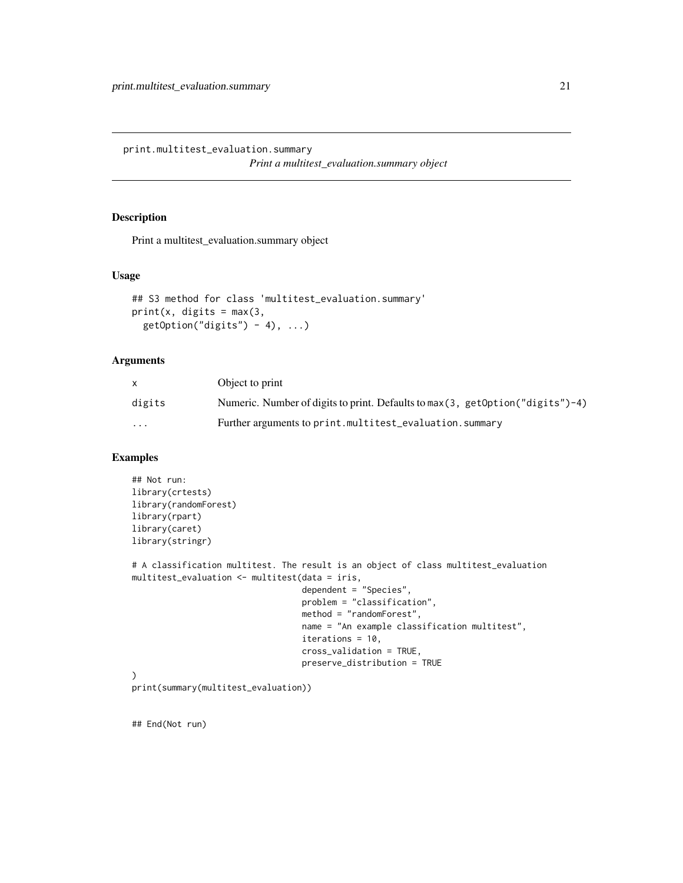<span id="page-20-0"></span>print.multitest\_evaluation.summary

*Print a multitest\_evaluation.summary object*

# Description

Print a multitest\_evaluation.summary object

## Usage

```
## S3 method for class 'multitest_evaluation.summary'
print(x, \text{ digits} = max(3,getOption("digits") - 4), ...
```
#### Arguments

|                         | Object to print                                                                   |
|-------------------------|-----------------------------------------------------------------------------------|
| digits                  | Numeric. Number of digits to print. Defaults to max(3, getOption( $"$ digits")-4) |
| $\cdot$ $\cdot$ $\cdot$ | Further arguments to print.multitest_evaluation.summary                           |

# Examples

```
## Not run:
library(crtests)
library(randomForest)
library(rpart)
library(caret)
library(stringr)
# A classification multitest. The result is an object of class multitest_evaluation
multitest_evaluation <- multitest(data = iris,
                                  dependent = "Species",
                                  problem = "classification",
                                  method = "randomForest",
                                  name = "An example classification multitest",
                                  iterations = 10,
                                  cross_validation = TRUE,
                                  preserve_distribution = TRUE
)
print(summary(multitest_evaluation))
```
## End(Not run)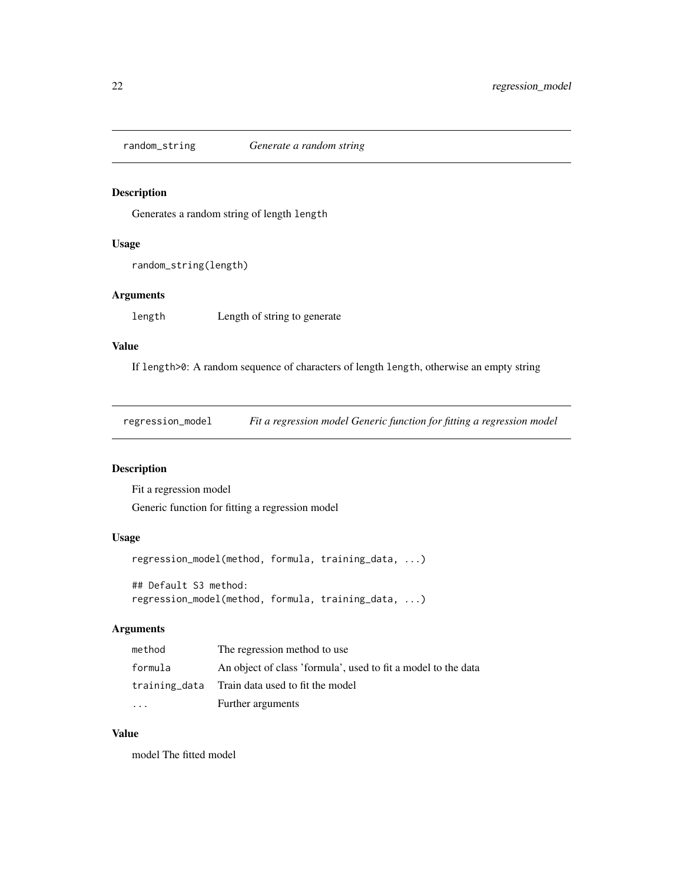<span id="page-21-0"></span>

Generates a random string of length length

# Usage

random\_string(length)

# Arguments

length Length of string to generate

#### Value

If length>0: A random sequence of characters of length length, otherwise an empty string

regression\_model *Fit a regression model Generic function for fitting a regression model*

# Description

Fit a regression model Generic function for fitting a regression model

#### Usage

```
regression_model(method, formula, training_data, ...)
## Default S3 method:
```
# regression\_model(method, formula, training\_data, ...)

# Arguments

| method    | The regression method to use                                  |
|-----------|---------------------------------------------------------------|
| formula   | An object of class 'formula', used to fit a model to the data |
|           | training_data Train data used to fit the model                |
| $\ddotsc$ | Further arguments                                             |

# Value

model The fitted model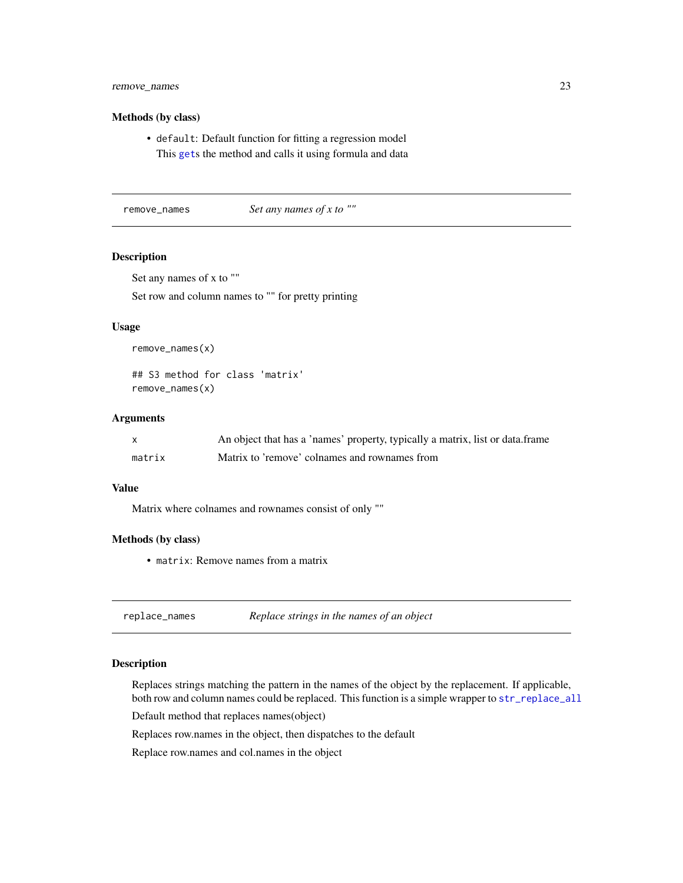# <span id="page-22-0"></span>remove\_names 23

#### Methods (by class)

• default: Default function for fitting a regression model This [get](#page-0-0)s the method and calls it using formula and data

remove\_names *Set any names of x to ""*

# Description

Set any names of x to ""

Set row and column names to "" for pretty printing

#### Usage

remove\_names(x)

## S3 method for class 'matrix' remove\_names(x)

#### Arguments

|        | An object that has a 'names' property, typically a matrix, list or data.frame |
|--------|-------------------------------------------------------------------------------|
| matrix | Matrix to 'remove' colnames and rownames from                                 |

#### Value

Matrix where colnames and rownames consist of only ""

#### Methods (by class)

• matrix: Remove names from a matrix

|  | replace_names | Replace strings in the names of an object |
|--|---------------|-------------------------------------------|
|--|---------------|-------------------------------------------|

#### Description

Replaces strings matching the pattern in the names of the object by the replacement. If applicable, both row and column names could be replaced. This function is a simple wrapper to [str\\_replace\\_all](#page-0-0)

Default method that replaces names(object)

Replaces row.names in the object, then dispatches to the default

Replace row.names and col.names in the object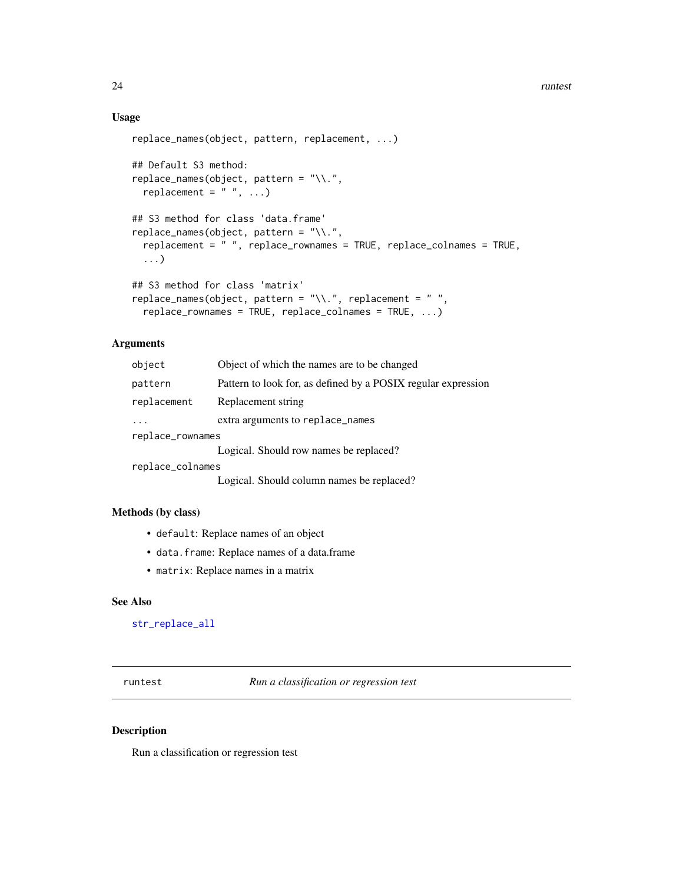# <span id="page-23-0"></span>Usage

```
replace_names(object, pattern, replacement, ...)
## Default S3 method:
replace_names(object, pattern = "\\.",
 replacement = " ", ...)
## S3 method for class 'data.frame'
replace_names(object, pattern = "\\.",
  replacement = " ", replace_rownames = TRUE, replace_colnames = TRUE,
  ...)
## S3 method for class 'matrix'
replace_names(object, pattern = "\\.", replacement = " ",
  replace_rownames = TRUE, replace_colnames = TRUE, ...)
```
# Arguments

| object           | Object of which the names are to be changed                   |  |
|------------------|---------------------------------------------------------------|--|
| pattern          | Pattern to look for, as defined by a POSIX regular expression |  |
| replacement      | Replacement string                                            |  |
|                  | extra arguments to replace_names                              |  |
| replace_rownames |                                                               |  |
|                  | Logical. Should row names be replaced?                        |  |
| replace_colnames |                                                               |  |
|                  | Logical. Should column names be replaced?                     |  |

#### Methods (by class)

- default: Replace names of an object
- data.frame: Replace names of a data.frame
- matrix: Replace names in a matrix

# See Also

[str\\_replace\\_all](#page-0-0)

<span id="page-23-1"></span>runtest *Run a classification or regression test*

# Description

Run a classification or regression test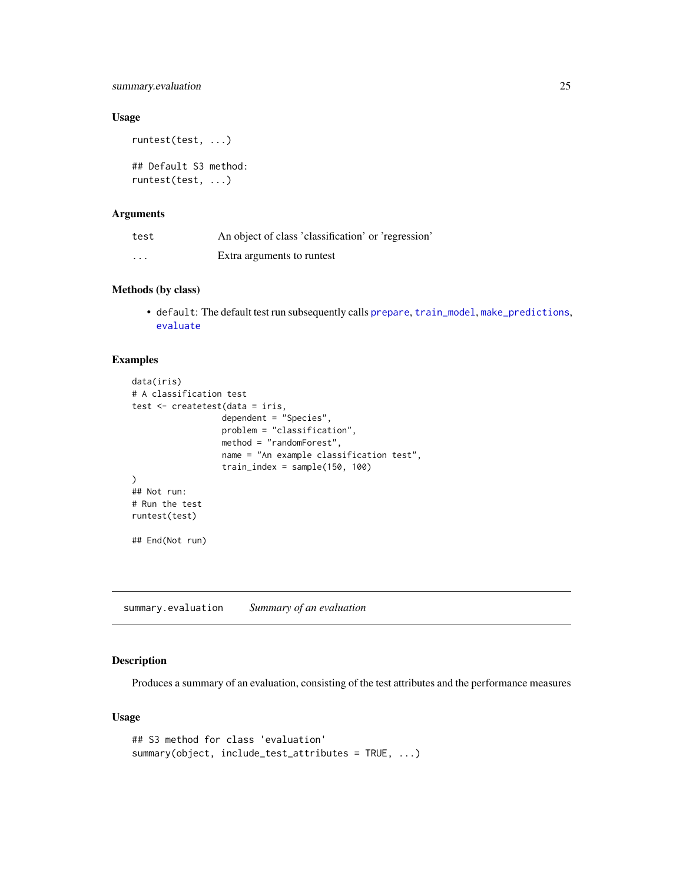<span id="page-24-0"></span>summary.evaluation 25

## Usage

```
runtest(test, ...)
```
## Default S3 method: runtest(test, ...)

# Arguments

| test                    | An object of class 'classification' or 'regression' |
|-------------------------|-----------------------------------------------------|
| $\cdot$ $\cdot$ $\cdot$ | Extra arguments to runtest                          |

# Methods (by class)

• default: The default test run subsequently calls [prepare](#page-17-1), [train\\_model](#page-26-1), [make\\_predictions](#page-11-1), [evaluate](#page-7-2)

# Examples

```
data(iris)
# A classification test
test <- createtest(data = iris,
                  dependent = "Species",
                  problem = "classification",
                  method = "randomForest",
                  name = "An example classification test",
                  train_index = sample(150, 100)
\mathcal{L}## Not run:
# Run the test
runtest(test)
## End(Not run)
```
summary.evaluation *Summary of an evaluation*

# Description

Produces a summary of an evaluation, consisting of the test attributes and the performance measures

#### Usage

```
## S3 method for class 'evaluation'
summary(object, include_test_attributes = TRUE, ...)
```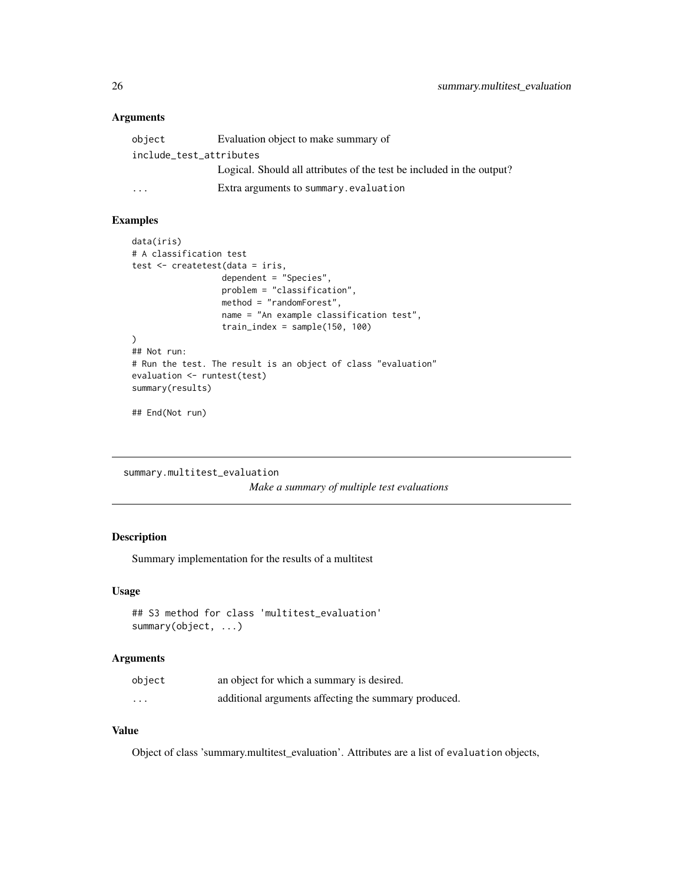# <span id="page-25-0"></span>Arguments

| object                  | Evaluation object to make summary of                                  |
|-------------------------|-----------------------------------------------------------------------|
| include_test_attributes |                                                                       |
|                         | Logical. Should all attributes of the test be included in the output? |
| $\cdot$ $\cdot$ $\cdot$ | Extra arguments to summary evaluation                                 |

# Examples

```
data(iris)
# A classification test
test <- createtest(data = iris,
                  dependent = "Species",
                  problem = "classification",
                  method = "randomForest",
                  name = "An example classification test",
                  train_index = sample(150, 100)
\lambda## Not run:
# Run the test. The result is an object of class "evaluation"
evaluation <- runtest(test)
summary(results)
```
## End(Not run)

```
summary.multitest_evaluation
```
*Make a summary of multiple test evaluations*

# Description

Summary implementation for the results of a multitest

#### Usage

```
## S3 method for class 'multitest_evaluation'
summary(object, ...)
```
# Arguments

| object   | an object for which a summary is desired.            |
|----------|------------------------------------------------------|
| $\cdots$ | additional arguments affecting the summary produced. |

# Value

Object of class 'summary.multitest\_evaluation'. Attributes are a list of evaluation objects,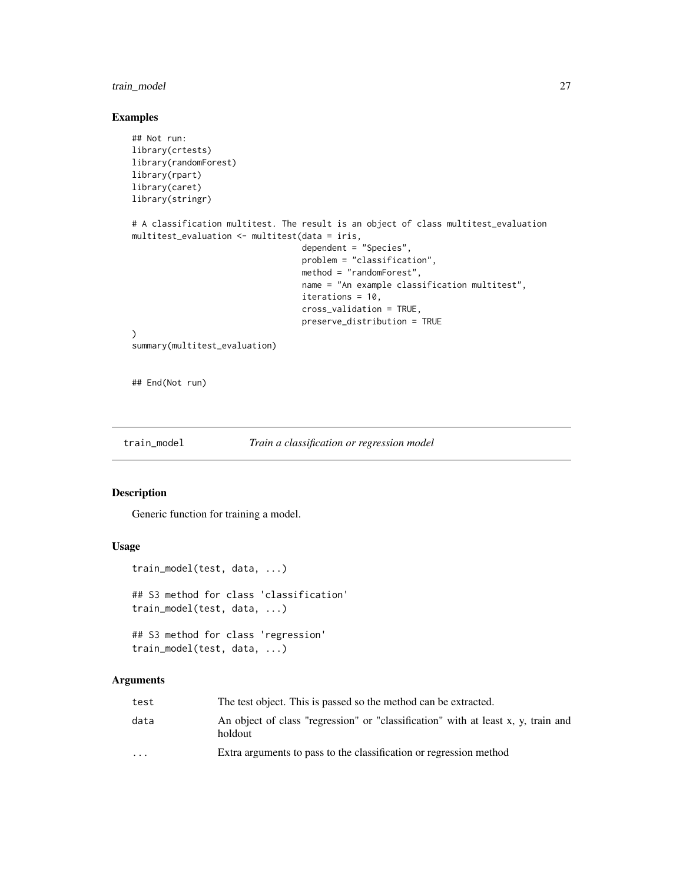# <span id="page-26-0"></span>train\_model 27

## Examples

```
## Not run:
library(crtests)
library(randomForest)
library(rpart)
library(caret)
library(stringr)
# A classification multitest. The result is an object of class multitest_evaluation
multitest_evaluation <- multitest(data = iris,
                                  dependent = "Species",
                                  problem = "classification",
                                  method = "randomForest",
                                  name = "An example classification multitest",
                                  iterations = 10,
                                  cross_validation = TRUE,
                                  preserve_distribution = TRUE
)
summary(multitest_evaluation)
```
## End(Not run)

<span id="page-26-1"></span>train\_model *Train a classification or regression model*

#### Description

Generic function for training a model.

# Usage

```
train_model(test, data, ...)
## S3 method for class 'classification'
train_model(test, data, ...)
## S3 method for class 'regression'
train_model(test, data, ...)
```

| test                    | The test object. This is passed so the method can be extracted.                              |
|-------------------------|----------------------------------------------------------------------------------------------|
| data                    | An object of class "regression" or "classification" with at least x, y, train and<br>holdout |
| $\cdot$ $\cdot$ $\cdot$ | Extra arguments to pass to the classification or regression method                           |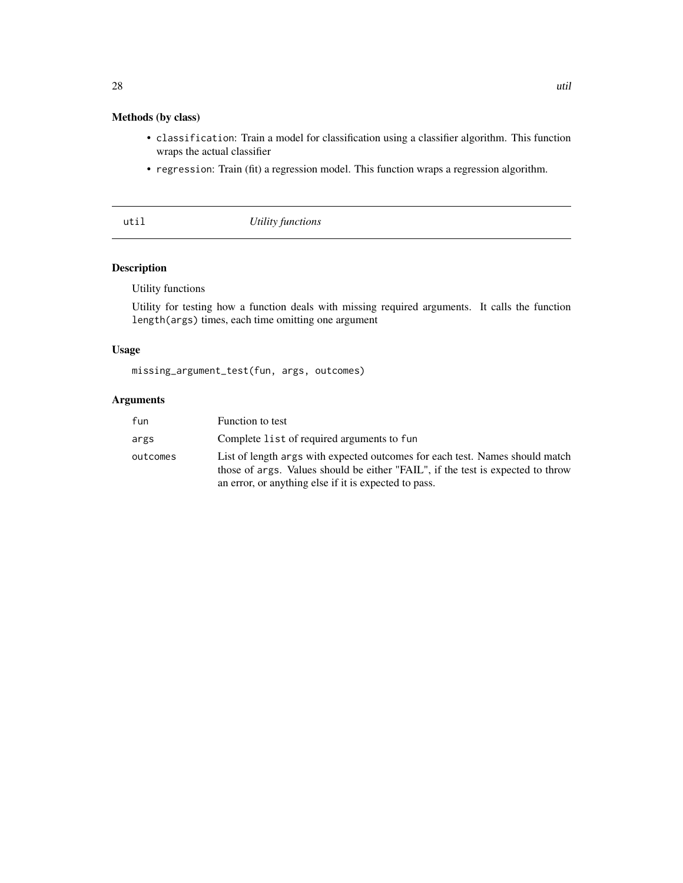# <span id="page-27-0"></span>Methods (by class)

- classification: Train a model for classification using a classifier algorithm. This function wraps the actual classifier
- regression: Train (fit) a regression model. This function wraps a regression algorithm.

util *Utility functions*

# Description

Utility functions

Utility for testing how a function deals with missing required arguments. It calls the function length(args) times, each time omitting one argument

# Usage

missing\_argument\_test(fun, args, outcomes)

| fun      | Function to test                                                                                                                                                                                                         |
|----------|--------------------------------------------------------------------------------------------------------------------------------------------------------------------------------------------------------------------------|
| args     | Complete list of required arguments to fun                                                                                                                                                                               |
| outcomes | List of length args with expected outcomes for each test. Names should match<br>those of args. Values should be either "FAIL", if the test is expected to throw<br>an error, or anything else if it is expected to pass. |